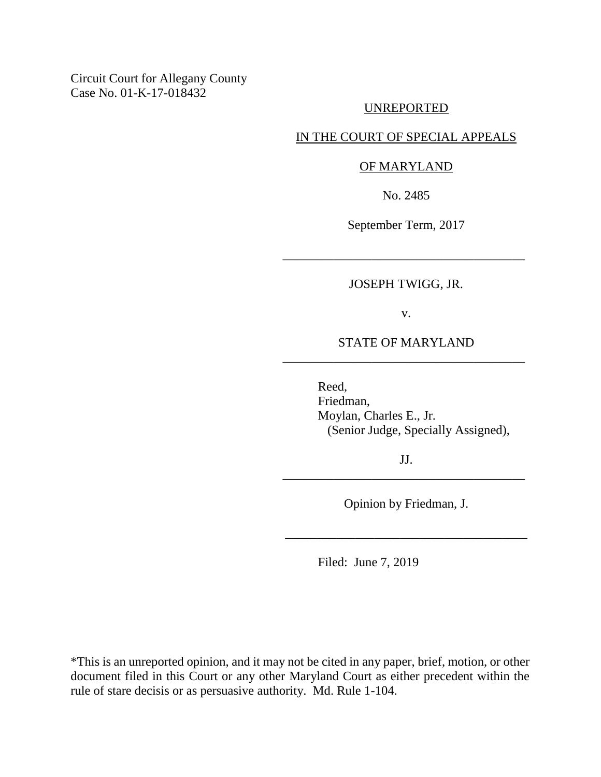Circuit Court for Allegany County Case No. 01-K-17-018432

# UNREPORTED

# IN THE COURT OF SPECIAL APPEALS

### OF MARYLAND

No. 2485

September Term, 2017

## JOSEPH TWIGG, JR.

\_\_\_\_\_\_\_\_\_\_\_\_\_\_\_\_\_\_\_\_\_\_\_\_\_\_\_\_\_\_\_\_\_\_\_\_\_\_

v.

# STATE OF MARYLAND \_\_\_\_\_\_\_\_\_\_\_\_\_\_\_\_\_\_\_\_\_\_\_\_\_\_\_\_\_\_\_\_\_\_\_\_\_\_

Reed, Friedman, Moylan, Charles E., Jr. (Senior Judge, Specially Assigned),

JJ. \_\_\_\_\_\_\_\_\_\_\_\_\_\_\_\_\_\_\_\_\_\_\_\_\_\_\_\_\_\_\_\_\_\_\_\_\_\_

Opinion by Friedman, J.

\_\_\_\_\_\_\_\_\_\_\_\_\_\_\_\_\_\_\_\_\_\_\_\_\_\_\_\_\_\_\_\_\_\_\_\_\_\_

Filed: June 7, 2019

\*This is an unreported opinion, and it may not be cited in any paper, brief, motion, or other document filed in this Court or any other Maryland Court as either precedent within the rule of stare decisis or as persuasive authority. Md. Rule 1-104.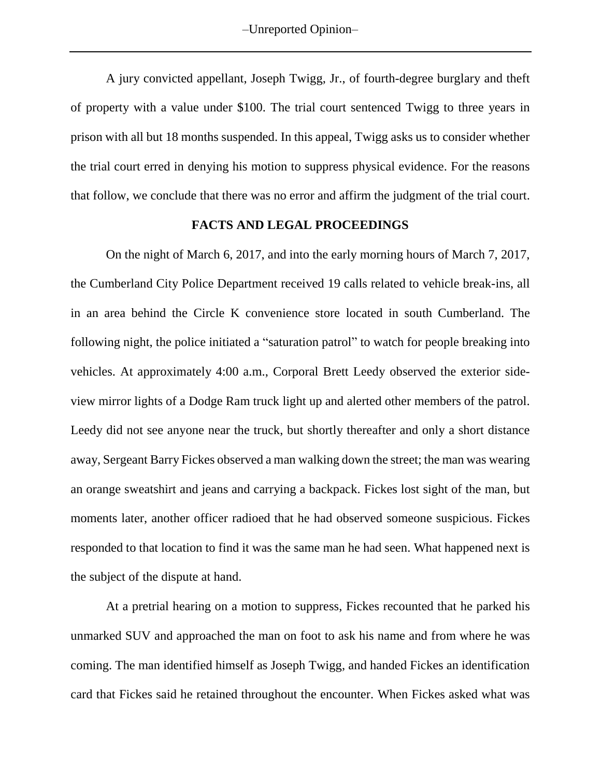-Unreported Opinion-

A jury convicted appellant, Joseph Twigg, Jr., of fourth-degree burglary and theft of property with a value under \$100. The trial court sentenced Twigg to three years in prison with all but 18 months suspended. In this appeal, Twigg asks us to consider whether the trial court erred in denying his motion to suppress physical evidence. For the reasons that follow, we conclude that there was no error and affirm the judgment of the trial court.

## **FACTS AND LEGAL PROCEEDINGS**

On the night of March 6, 2017, and into the early morning hours of March 7, 2017, the Cumberland City Police Department received 19 calls related to vehicle break-ins, all in an area behind the Circle K convenience store located in south Cumberland. The following night, the police initiated a "saturation patrol" to watch for people breaking into vehicles. At approximately 4:00 a.m., Corporal Brett Leedy observed the exterior sideview mirror lights of a Dodge Ram truck light up and alerted other members of the patrol. Leedy did not see anyone near the truck, but shortly thereafter and only a short distance away, Sergeant Barry Fickes observed a man walking down the street; the man was wearing an orange sweatshirt and jeans and carrying a backpack. Fickes lost sight of the man, but moments later, another officer radioed that he had observed someone suspicious. Fickes responded to that location to find it was the same man he had seen. What happened next is the subject of the dispute at hand.

At a pretrial hearing on a motion to suppress, Fickes recounted that he parked his unmarked SUV and approached the man on foot to ask his name and from where he was coming. The man identified himself as Joseph Twigg, and handed Fickes an identification card that Fickes said he retained throughout the encounter. When Fickes asked what was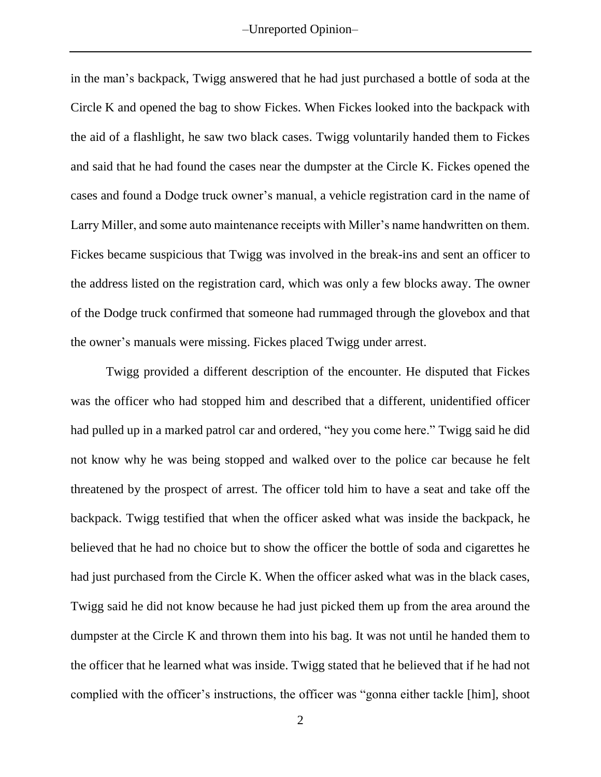in the man's backpack, Twigg answered that he had just purchased a bottle of soda at the Circle K and opened the bag to show Fickes. When Fickes looked into the backpack with the aid of a flashlight, he saw two black cases. Twigg voluntarily handed them to Fickes and said that he had found the cases near the dumpster at the Circle K. Fickes opened the cases and found a Dodge truck owner's manual, a vehicle registration card in the name of Larry Miller, and some auto maintenance receipts with Miller's name handwritten on them. Fickes became suspicious that Twigg was involved in the break-ins and sent an officer to the address listed on the registration card, which was only a few blocks away. The owner of the Dodge truck confirmed that someone had rummaged through the glovebox and that the owner's manuals were missing. Fickes placed Twigg under arrest.

Twigg provided a different description of the encounter. He disputed that Fickes was the officer who had stopped him and described that a different, unidentified officer had pulled up in a marked patrol car and ordered, "hey you come here." Twigg said he did not know why he was being stopped and walked over to the police car because he felt threatened by the prospect of arrest. The officer told him to have a seat and take off the backpack. Twigg testified that when the officer asked what was inside the backpack, he believed that he had no choice but to show the officer the bottle of soda and cigarettes he had just purchased from the Circle K. When the officer asked what was in the black cases, Twigg said he did not know because he had just picked them up from the area around the dumpster at the Circle K and thrown them into his bag. It was not until he handed them to the officer that he learned what was inside. Twigg stated that he believed that if he had not complied with the officer's instructions, the officer was "gonna either tackle [him], shoot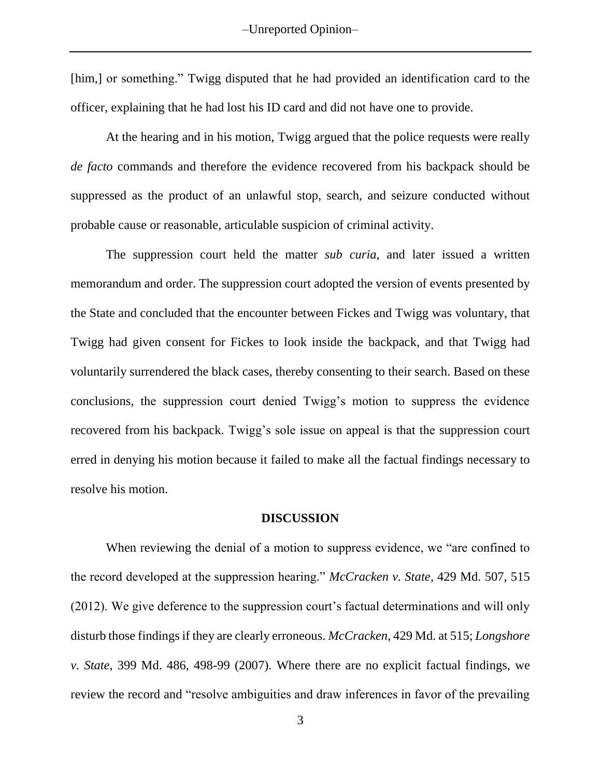[him,] or something." Twigg disputed that he had provided an identification card to the officer, explaining that he had lost his ID card and did not have one to provide.

At the hearing and in his motion, Twigg argued that the police requests were really *de facto* commands and therefore the evidence recovered from his backpack should be suppressed as the product of an unlawful stop, search, and seizure conducted without probable cause or reasonable, articulable suspicion of criminal activity.

The suppression court held the matter *sub curia*, and later issued a written memorandum and order. The suppression court adopted the version of events presented by the State and concluded that the encounter between Fickes and Twigg was voluntary, that Twigg had given consent for Fickes to look inside the backpack, and that Twigg had voluntarily surrendered the black cases, thereby consenting to their search. Based on these conclusions, the suppression court denied Twigg's motion to suppress the evidence recovered from his backpack. Twigg's sole issue on appeal is that the suppression court erred in denying his motion because it failed to make all the factual findings necessary to resolve his motion.

### **DISCUSSION**

When reviewing the denial of a motion to suppress evidence, we "are confined to the record developed at the suppression hearing." *McCracken v. State*, 429 Md. 507, 515 (2012). We give deference to the suppression court's factual determinations and will only disturb those findings if they are clearly erroneous. *McCracken*, 429 Md. at 515; *Longshore v. State*, 399 Md. 486, 498-99 (2007). Where there are no explicit factual findings, we review the record and "resolve ambiguities and draw inferences in favor of the prevailing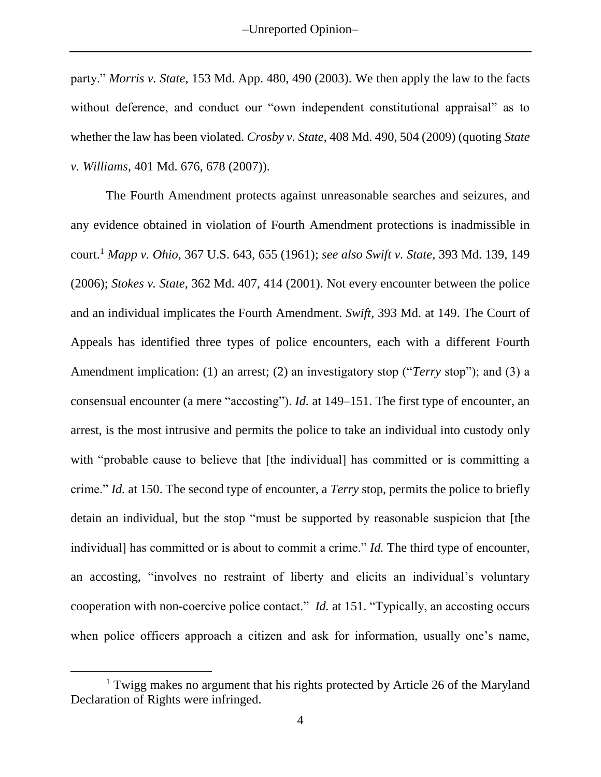party." *Morris v. State*, 153 Md. App. 480, 490 (2003). We then apply the law to the facts without deference, and conduct our "own independent constitutional appraisal" as to whether the law has been violated. *Crosby v. State*, 408 Md. 490, 504 (2009) (quoting *State v. Williams*, 401 Md. 676, 678 (2007)).

The Fourth Amendment protects against unreasonable searches and seizures, and any evidence obtained in violation of Fourth Amendment protections is inadmissible in court.<sup>1</sup> *Mapp v. Ohio,* 367 U.S. 643, 655 (1961); *see also Swift v. State,* 393 Md. 139, 149 (2006); *Stokes v. State,* 362 Md. 407, 414 (2001). Not every encounter between the police and an individual implicates the Fourth Amendment. *Swift,* 393 Md. at 149. The Court of Appeals has identified three types of police encounters, each with a different Fourth Amendment implication: (1) an arrest; (2) an investigatory stop ("*Terry* stop"); and (3) a consensual encounter (a mere "accosting"). *Id.* at 149–151. The first type of encounter, an arrest, is the most intrusive and permits the police to take an individual into custody only with "probable cause to believe that [the individual] has committed or is committing a crime." *Id.* at 150. The second type of encounter, a *Terry* stop, permits the police to briefly detain an individual, but the stop "must be supported by reasonable suspicion that [the individual] has committed or is about to commit a crime." *Id.* The third type of encounter, an accosting, "involves no restraint of liberty and elicits an individual's voluntary cooperation with non-coercive police contact." *Id.* at 151. "Typically, an accosting occurs when police officers approach a citizen and ask for information, usually one's name,

 $\overline{a}$ 

<sup>&</sup>lt;sup>1</sup> Twigg makes no argument that his rights protected by Article 26 of the Maryland Declaration of Rights were infringed.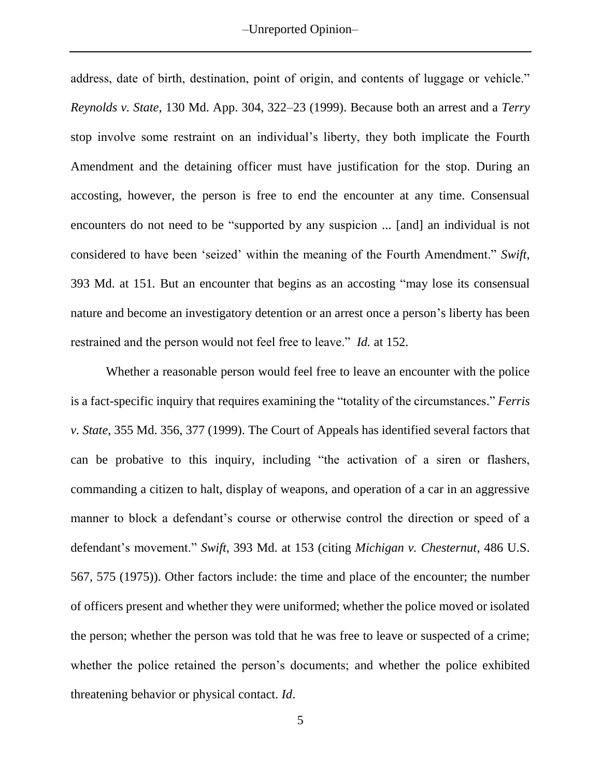-Unreported Opinion-

address, date of birth, destination, point of origin, and contents of luggage or vehicle." *Reynolds v. State,* 130 Md. App. 304, 322–23 (1999). Because both an arrest and a *Terry* stop involve some restraint on an individual's liberty, they both implicate the Fourth Amendment and the detaining officer must have justification for the stop. During an accosting, however, the person is free to end the encounter at any time. Consensual encounters do not need to be "supported by any suspicion ... [and] an individual is not considered to have been 'seized' within the meaning of the Fourth Amendment." *Swift*, 393 Md. at 151*.* But an encounter that begins as an accosting "may lose its consensual nature and become an investigatory detention or an arrest once a person's liberty has been restrained and the person would not feel free to leave." *Id.* at 152.

Whether a reasonable person would feel free to leave an encounter with the police is a fact-specific inquiry that requires examining the "totality of the circumstances." *Ferris v. State*, 355 Md. 356, 377 (1999). The Court of Appeals has identified several factors that can be probative to this inquiry, including "the activation of a siren or flashers, commanding a citizen to halt, display of weapons, and operation of a car in an aggressive manner to block a defendant's course or otherwise control the direction or speed of a defendant's movement." *Swift*, 393 Md. at 153 (citing *Michigan v. Chesternut*, 486 U.S. 567, 575 (1975)). Other factors include: the time and place of the encounter; the number of officers present and whether they were uniformed; whether the police moved or isolated the person; whether the person was told that he was free to leave or suspected of a crime; whether the police retained the person's documents; and whether the police exhibited threatening behavior or physical contact. *Id*.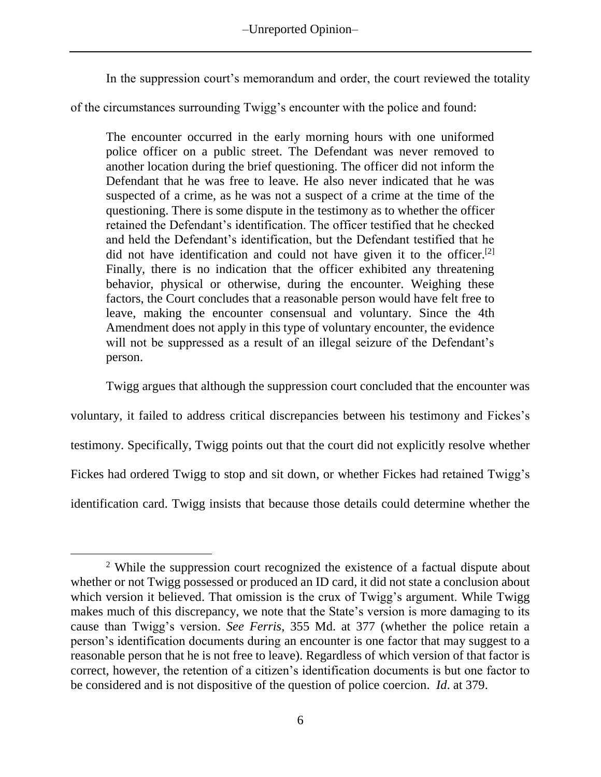-Unreported Opinion-

In the suppression court's memorandum and order, the court reviewed the totality

of the circumstances surrounding Twigg's encounter with the police and found:

The encounter occurred in the early morning hours with one uniformed police officer on a public street. The Defendant was never removed to another location during the brief questioning. The officer did not inform the Defendant that he was free to leave. He also never indicated that he was suspected of a crime, as he was not a suspect of a crime at the time of the questioning. There is some dispute in the testimony as to whether the officer retained the Defendant's identification. The officer testified that he checked and held the Defendant's identification, but the Defendant testified that he did not have identification and could not have given it to the officer.<sup>[2]</sup> Finally, there is no indication that the officer exhibited any threatening behavior, physical or otherwise, during the encounter. Weighing these factors, the Court concludes that a reasonable person would have felt free to leave, making the encounter consensual and voluntary. Since the 4th Amendment does not apply in this type of voluntary encounter, the evidence will not be suppressed as a result of an illegal seizure of the Defendant's person.

Twigg argues that although the suppression court concluded that the encounter was

voluntary, it failed to address critical discrepancies between his testimony and Fickes's testimony. Specifically, Twigg points out that the court did not explicitly resolve whether Fickes had ordered Twigg to stop and sit down, or whether Fickes had retained Twigg's identification card. Twigg insists that because those details could determine whether the

 $\overline{a}$ 

<sup>2</sup> While the suppression court recognized the existence of a factual dispute about whether or not Twigg possessed or produced an ID card, it did not state a conclusion about which version it believed. That omission is the crux of Twigg's argument. While Twigg makes much of this discrepancy, we note that the State's version is more damaging to its cause than Twigg's version. *See Ferris*, 355 Md. at 377 (whether the police retain a person's identification documents during an encounter is one factor that may suggest to a reasonable person that he is not free to leave). Regardless of which version of that factor is correct, however, the retention of a citizen's identification documents is but one factor to be considered and is not dispositive of the question of police coercion. *Id*. at 379.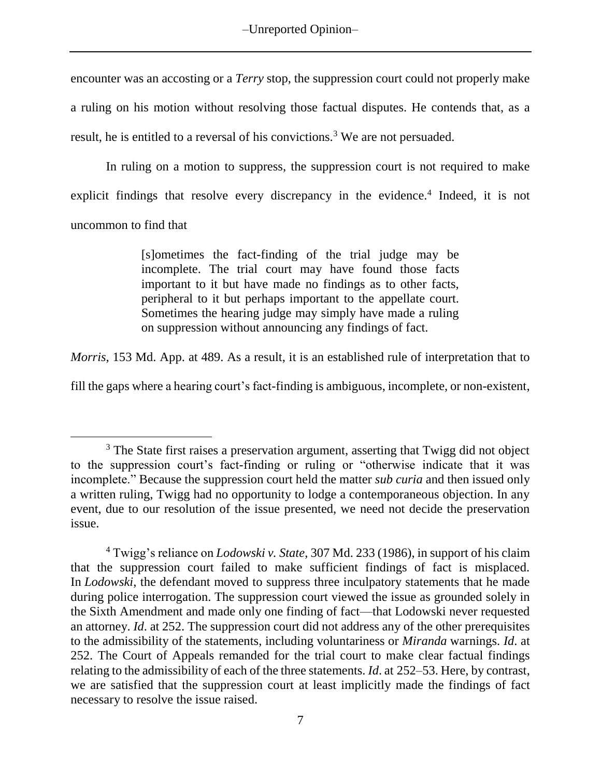encounter was an accosting or a *Terry* stop, the suppression court could not properly make a ruling on his motion without resolving those factual disputes. He contends that, as a result, he is entitled to a reversal of his convictions.<sup>3</sup> We are not persuaded.

In ruling on a motion to suppress, the suppression court is not required to make explicit findings that resolve every discrepancy in the evidence.<sup>4</sup> Indeed, it is not uncommon to find that

> [s]ometimes the fact-finding of the trial judge may be incomplete. The trial court may have found those facts important to it but have made no findings as to other facts, peripheral to it but perhaps important to the appellate court. Sometimes the hearing judge may simply have made a ruling on suppression without announcing any findings of fact.

*Morris*, 153 Md. App. at 489. As a result, it is an established rule of interpretation that to

fill the gaps where a hearing court's fact-finding is ambiguous, incomplete, or non-existent,

<sup>&</sup>lt;sup>3</sup> The State first raises a preservation argument, asserting that Twigg did not object to the suppression court's fact-finding or ruling or "otherwise indicate that it was incomplete." Because the suppression court held the matter *sub curia* and then issued only a written ruling, Twigg had no opportunity to lodge a contemporaneous objection. In any event, due to our resolution of the issue presented, we need not decide the preservation issue.

<sup>4</sup> Twigg's reliance on *Lodowski v. State*, 307 Md. 233 (1986), in support of his claim that the suppression court failed to make sufficient findings of fact is misplaced. In *Lodowski*, the defendant moved to suppress three inculpatory statements that he made during police interrogation. The suppression court viewed the issue as grounded solely in the Sixth Amendment and made only one finding of fact—that Lodowski never requested an attorney. *Id*. at 252. The suppression court did not address any of the other prerequisites to the admissibility of the statements, including voluntariness or *Miranda* warnings. *Id*. at 252. The Court of Appeals remanded for the trial court to make clear factual findings relating to the admissibility of each of the three statements. *Id*. at 252–53. Here, by contrast, we are satisfied that the suppression court at least implicitly made the findings of fact necessary to resolve the issue raised.